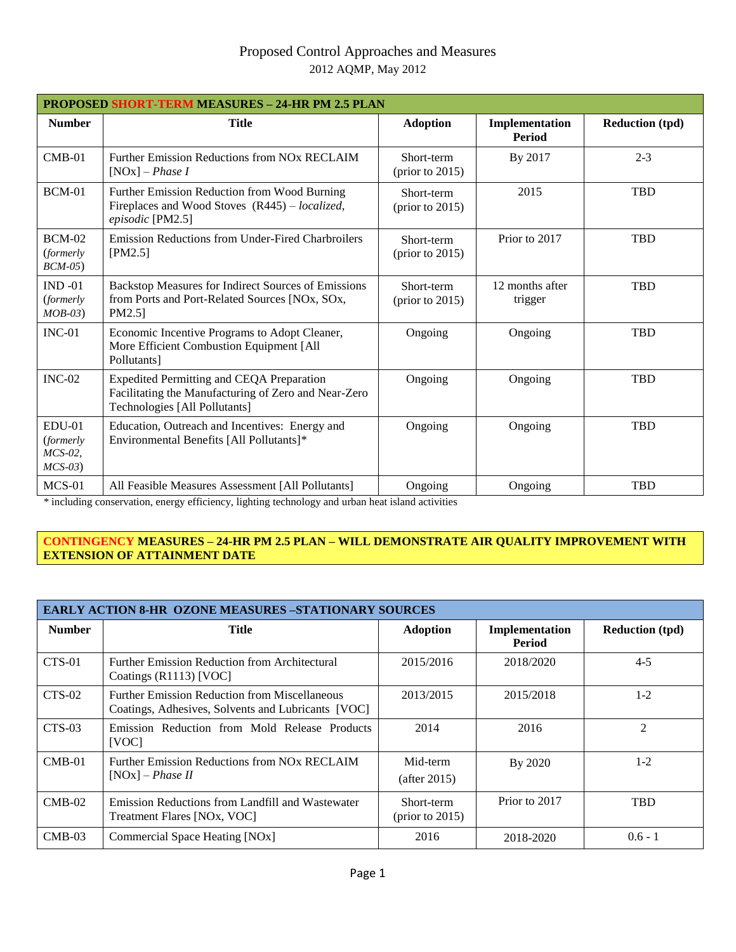## Proposed Control Approaches and Measures 2012 AQMP, May 2012

| <b>PROPOSED SHORT-TERM MEASURES - 24-HR PM 2.5 PLAN</b> |                                                                                                                                           |                                         |                                 |                        |
|---------------------------------------------------------|-------------------------------------------------------------------------------------------------------------------------------------------|-----------------------------------------|---------------------------------|------------------------|
| <b>Number</b>                                           | <b>Title</b>                                                                                                                              | <b>Adoption</b>                         | Implementation<br><b>Period</b> | <b>Reduction (tpd)</b> |
| $CMB-01$                                                | Further Emission Reductions from NO <sub>x</sub> RECLAIM<br>$[NOx]$ – <i>Phase I</i>                                                      | Short-term<br>$(\text{prior to } 2015)$ | By 2017                         | $2 - 3$                |
| <b>BCM-01</b>                                           | Further Emission Reduction from Wood Burning<br>Fireplaces and Wood Stoves (R445) – localized,<br>episodic [PM2.5]                        | Short-term<br>$(\text{prior to } 2015)$ | 2015                            | <b>TBD</b>             |
| $BCM-02$<br><i>(formerly)</i><br>$BCM-05$               | Emission Reductions from Under-Fired Charbroilers<br>[PM2.5]                                                                              | Short-term<br>$(\text{prior to } 2015)$ | Prior to 2017                   | <b>TBD</b>             |
| $IND -01$<br><i>(formerly)</i><br>$MOB-03)$             | Backstop Measures for Indirect Sources of Emissions<br>from Ports and Port-Related Sources [NOx, SOx,<br>PM2.5]                           | Short-term<br>$(\text{prior to } 2015)$ | 12 months after<br>trigger      | <b>TBD</b>             |
| $INC-01$                                                | Economic Incentive Programs to Adopt Cleaner,<br>More Efficient Combustion Equipment [All<br>Pollutants]                                  | Ongoing                                 | Ongoing                         | <b>TBD</b>             |
| $INC-02$                                                | <b>Expedited Permitting and CEQA Preparation</b><br>Facilitating the Manufacturing of Zero and Near-Zero<br>Technologies [All Pollutants] | Ongoing                                 | Ongoing                         | <b>TBD</b>             |
| $EDU-01$<br><i>(formerly)</i><br>$MCS-02$ ,<br>$MCS-03$ | Education, Outreach and Incentives: Energy and<br>Environmental Benefits [All Pollutants]*                                                | Ongoing                                 | Ongoing                         | <b>TBD</b>             |
| $MCS-01$                                                | All Feasible Measures Assessment [All Pollutants]                                                                                         | Ongoing                                 | Ongoing                         | <b>TBD</b>             |

*\** including conservation, energy efficiency, lighting technology and urban heat island activities

## **CONTINGENCY MEASURES – 24-HR PM 2.5 PLAN – WILL DEMONSTRATE AIR QUALITY IMPROVEMENT WITH EXTENSION OF ATTAINMENT DATE**

| <b>EARLY ACTION 8-HR OZONE MEASURES -STATIONARY SOURCES</b> |                                                                                                            |                                  |                          |                        |
|-------------------------------------------------------------|------------------------------------------------------------------------------------------------------------|----------------------------------|--------------------------|------------------------|
| <b>Number</b>                                               | <b>Title</b>                                                                                               | <b>Adoption</b>                  | Implementation<br>Period | <b>Reduction (tpd)</b> |
| CTS-01                                                      | <b>Further Emission Reduction from Architectural</b><br>Coatings (R1113) [VOC]                             | 2015/2016                        | 2018/2020                | $4 - 5$                |
| $CTS-02$                                                    | <b>Further Emission Reduction from Miscellaneous</b><br>Coatings, Adhesives, Solvents and Lubricants [VOC] | 2013/2015                        | 2015/2018                | $1 - 2$                |
| $CTS-03$                                                    | Emission Reduction from Mold Release Products<br>[VOC]                                                     | 2014                             | 2016                     | $\mathfrak{D}$         |
| $CMB-01$                                                    | Further Emission Reductions from NO <sub>x</sub> RECLAIM<br>$[NOx]$ – Phase II                             | Mid-term<br>(after 2015)         | By 2020                  | $1-2$                  |
| $CMB-02$                                                    | Emission Reductions from Landfill and Wastewater<br>Treatment Flares [NOx, VOC]                            | Short-term<br>(prior to $2015$ ) | Prior to 2017            | <b>TBD</b>             |
| $CMB-03$                                                    | Commercial Space Heating [NOx]                                                                             | 2016                             | 2018-2020                | $0.6 - 1$              |